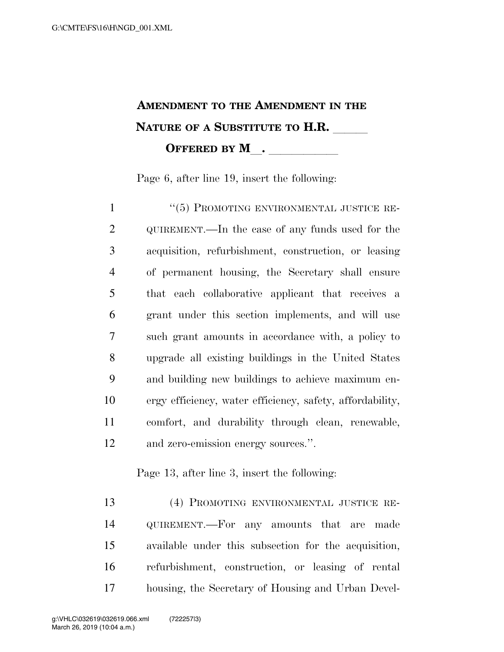## **AMENDMENT TO THE AMENDMENT IN THE NATURE OF A SUBSTITUTE TO H.R. OFFERED BY M**.

Page 6, after line 19, insert the following:

 ''(5) PROMOTING ENVIRONMENTAL JUSTICE RE-2 QUIREMENT.—In the case of any funds used for the acquisition, refurbishment, construction, or leasing of permanent housing, the Secretary shall ensure that each collaborative applicant that receives a grant under this section implements, and will use such grant amounts in accordance with, a policy to upgrade all existing buildings in the United States and building new buildings to achieve maximum en- ergy efficiency, water efficiency, safety, affordability, comfort, and durability through clean, renewable, and zero-emission energy sources.''.

Page 13, after line 3, insert the following:

 (4) PROMOTING ENVIRONMENTAL JUSTICE RE- QUIREMENT.—For any amounts that are made available under this subsection for the acquisition, refurbishment, construction, or leasing of rental housing, the Secretary of Housing and Urban Devel